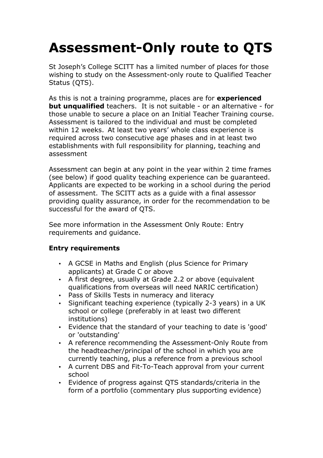# **Assessment-Only route to QTS**

St Joseph's College SCITT has a limited number of places for those wishing to study on the Assessment-only route to Qualified Teacher Status (QTS).

As this is not a training programme, places are for **experienced but unqualified** teachers. It is not suitable - or an alternative - for those unable to secure a place on an Initial Teacher Training course. Assessment is tailored to the individual and must be completed within 12 weeks. At least two years' whole class experience is required across two consecutive age phases and in at least two establishments with full responsibility for planning, teaching and assessment

Assessment can begin at any point in the year within 2 time frames (see below) if good quality teaching experience can be guaranteed. Applicants are expected to be working in a school during the period of assessment. The SCITT acts as a guide with a final assessor providing quality assurance, in order for the recommendation to be successful for the award of QTS.

See more information in the Assessment Only Route: Entry requirements and guidance.

## **Entry requirements**

- A GCSE in Maths and English (plus Science for Primary applicants) at Grade C or above
- A first degree, usually at Grade 2.2 or above (equivalent qualifications from overseas will need NARIC certification)
- Pass of Skills Tests in numeracy and literacy
- Significant teaching experience (typically 2-3 years) in a UK school or college (preferably in at least two different institutions)
- Evidence that the standard of your teaching to date is 'good' or 'outstanding'
- A reference recommending the Assessment-Only Route from the headteacher/principal of the school in which you are currently teaching, plus a reference from a previous school
- A current DBS and Fit-To-Teach approval from your current school
- Evidence of progress against QTS standards/criteria in the form of a portfolio (commentary plus supporting evidence)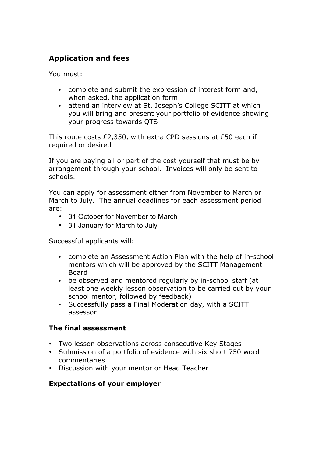## **Application and fees**

You must:

- complete and submit the expression of interest form and, when asked, the application form
- attend an interview at St. Joseph's College SCITT at which you will bring and present your portfolio of evidence showing your progress towards QTS

This route costs £2,350, with extra CPD sessions at £50 each if required or desired

If you are paying all or part of the cost yourself that must be by arrangement through your school. Invoices will only be sent to schools.

You can apply for assessment either from November to March or March to July. The annual deadlines for each assessment period are:

- 31 October for November to March
- 31 January for March to July

Successful applicants will:

- complete an Assessment Action Plan with the help of in-school mentors which will be approved by the SCITT Management Board
- be observed and mentored regularly by in-school staff (at least one weekly lesson observation to be carried out by your school mentor, followed by feedback)
- Successfully pass a Final Moderation day, with a SCITT assessor

### **The final assessment**

- Two lesson observations across consecutive Key Stages
- Submission of a portfolio of evidence with six short 750 word commentaries.
- Discussion with your mentor or Head Teacher

### **Expectations of your employer**